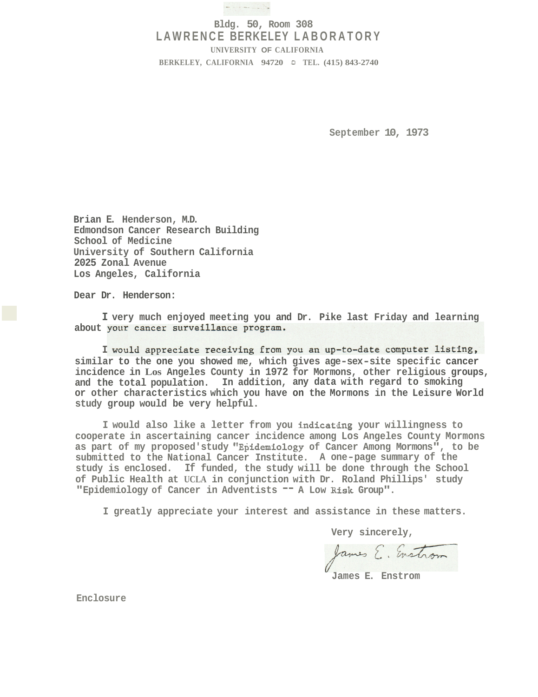

## **Bldg. 50, Room 308 LAWRENCE BERKELEY LABORATORY UNIVERSITY OF CALIFORNIA BERKELEY, CALIFORNIA 94720** *0* **TEL. (415) 843-2740**

**September 10, 1973** 

**Brian E. Henderson, M.D. Edmondson Cancer Research Building School of Medicine University of Southern California 2025 Zonal Avenue Los Angeles, California** 

**Dear Dr. Henderson:** 

**I very much enjoyed meeting you and Dr. Pike last Friday and learning**  about your cancer surveillance program.

I would appreciate receiving from you an up-to-date computer listing, **similar to the one you showed me, which gives age-sex-site specific cancer incidence in Los Angeles County in 1972 for Mormons, other religious groups, and the total population. In addition, any data with regard to smoking or other characteristics which you have on the Mormons in the Leisure World study group would be very helpful.** 

**I would also like a letter from you indicathg your willingness to cooperate in ascertaining cancer incidence among Los Angeles County Mormons**  as part of my proposed'study "Epidemiology of Cancer Among Mormons", to be **submitted to the National Cancer Institute. A one-page summary of the study is enclosed. If funded, the study will be done through the School of Public Health at UCLA in conjunction with Dr. Roland Phillips' study "Epidemiology of Cancer in Adventists** -- **A Low Risk Group".** 

**I greatly appreciate your interest and assistance in these matters.** 

**Very sincerely,** 

James E. Enstrom

**James E. Enstrom** 

**Enclosure**